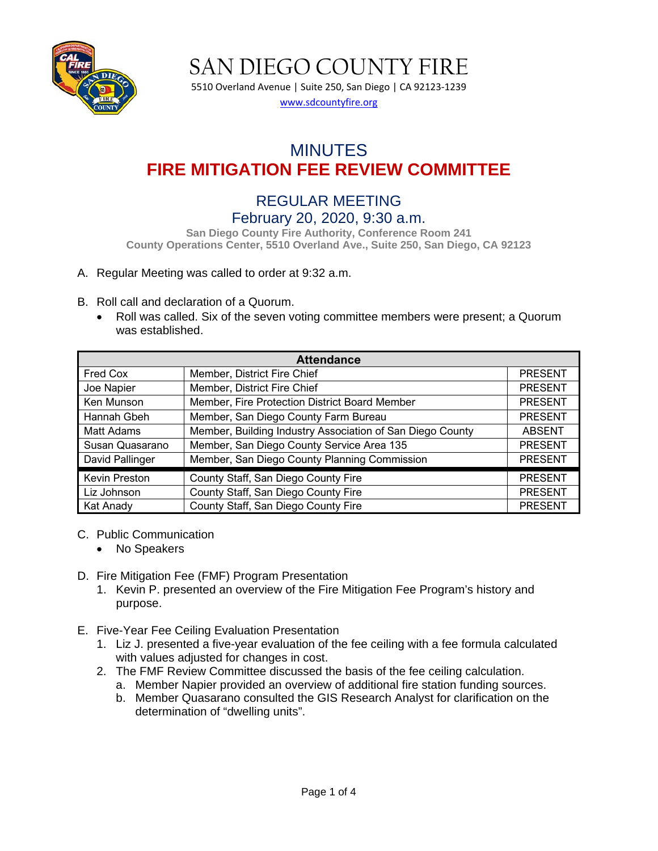

5510 Overland Avenue | Suite 250, San Diego | CA 92123-1239 [www.sdcountyfire.org](http://www.sdcountyfire.org/)

# MINUTES **FIRE MITIGATION FEE REVIEW COMMITTEE**

## REGULAR MEETING February 20, 2020, 9:30 a.m.

**San Diego County Fire Authority, Conference Room 241 County Operations Center, 5510 Overland Ave., Suite 250, San Diego, CA 92123**

#### A. Regular Meeting was called to order at 9:32 a.m.

- B. Roll call and declaration of a Quorum.
	- Roll was called. Six of the seven voting committee members were present; a Quorum was established.

| <b>Attendance</b> |                                                           |                |  |  |  |
|-------------------|-----------------------------------------------------------|----------------|--|--|--|
| Fred Cox          | Member, District Fire Chief                               | <b>PRESENT</b> |  |  |  |
| Joe Napier        | Member, District Fire Chief                               | <b>PRESENT</b> |  |  |  |
| Ken Munson        | Member, Fire Protection District Board Member             | <b>PRESENT</b> |  |  |  |
| Hannah Gbeh       | Member, San Diego County Farm Bureau                      | <b>PRESENT</b> |  |  |  |
| Matt Adams        | Member, Building Industry Association of San Diego County | <b>ABSENT</b>  |  |  |  |
| Susan Quasarano   | Member, San Diego County Service Area 135                 | <b>PRESENT</b> |  |  |  |
| David Pallinger   | Member, San Diego County Planning Commission              | <b>PRESENT</b> |  |  |  |
| Kevin Preston     | County Staff, San Diego County Fire                       | <b>PRESENT</b> |  |  |  |
| Liz Johnson       | County Staff, San Diego County Fire                       | <b>PRESENT</b> |  |  |  |
| Kat Anady         | County Staff, San Diego County Fire                       | <b>PRESENT</b> |  |  |  |

#### C. Public Communication

- No Speakers
- D. Fire Mitigation Fee (FMF) Program Presentation
	- 1. Kevin P. presented an overview of the Fire Mitigation Fee Program's history and purpose.
- E. Five-Year Fee Ceiling Evaluation Presentation
	- 1. Liz J. presented a five-year evaluation of the fee ceiling with a fee formula calculated with values adjusted for changes in cost.
	- 2. The FMF Review Committee discussed the basis of the fee ceiling calculation.
		- a. Member Napier provided an overview of additional fire station funding sources.
		- b. Member Quasarano consulted the GIS Research Analyst for clarification on the determination of "dwelling units".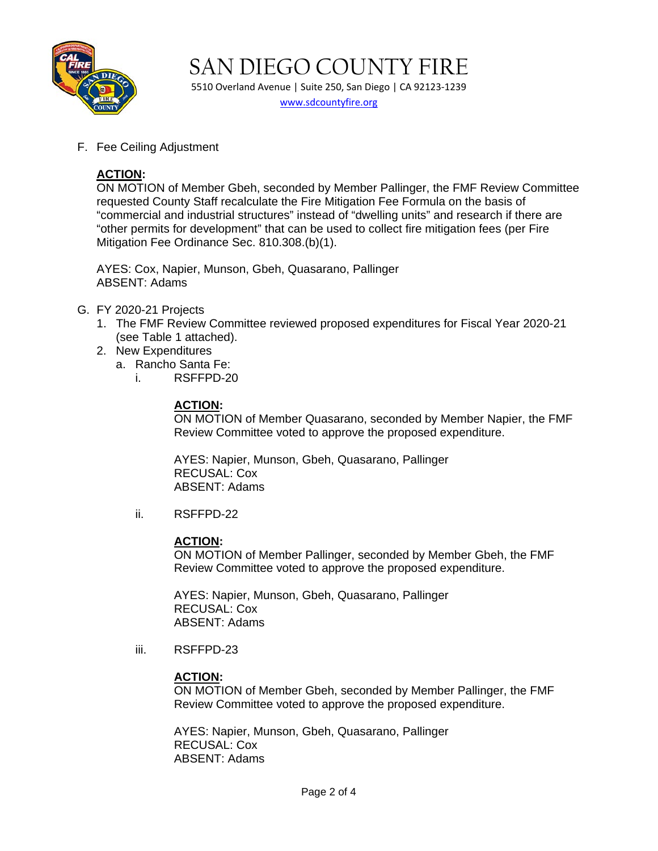

5510 Overland Avenue | Suite 250, San Diego | CA 92123-1239 [www.sdcountyfire.org](http://www.sdcountyfire.org/)

F. Fee Ceiling Adjustment

### **ACTION:**

ON MOTION of Member Gbeh, seconded by Member Pallinger, the FMF Review Committee requested County Staff recalculate the Fire Mitigation Fee Formula on the basis of "commercial and industrial structures" instead of "dwelling units" and research if there are "other permits for development" that can be used to collect fire mitigation fees (per Fire Mitigation Fee Ordinance Sec. 810.308.(b)(1).

AYES: Cox, Napier, Munson, Gbeh, Quasarano, Pallinger ABSENT: Adams

- G. FY 2020-21 Projects
	- 1. The FMF Review Committee reviewed proposed expenditures for Fiscal Year 2020-21 (see Table 1 attached).
	- 2. New Expenditures
		- a. Rancho Santa Fe:
			- i. RSFFPD-20

#### **ACTION:**

ON MOTION of Member Quasarano, seconded by Member Napier, the FMF Review Committee voted to approve the proposed expenditure.

AYES: Napier, Munson, Gbeh, Quasarano, Pallinger RECUSAL: Cox ABSENT: Adams

ii. RSFFPD-22

#### **ACTION:**

ON MOTION of Member Pallinger, seconded by Member Gbeh, the FMF Review Committee voted to approve the proposed expenditure.

AYES: Napier, Munson, Gbeh, Quasarano, Pallinger RECUSAL: Cox ABSENT: Adams

iii. RSFFPD-23

#### **ACTION:**

ON MOTION of Member Gbeh, seconded by Member Pallinger, the FMF Review Committee voted to approve the proposed expenditure.

AYES: Napier, Munson, Gbeh, Quasarano, Pallinger RECUSAL: Cox ABSENT: Adams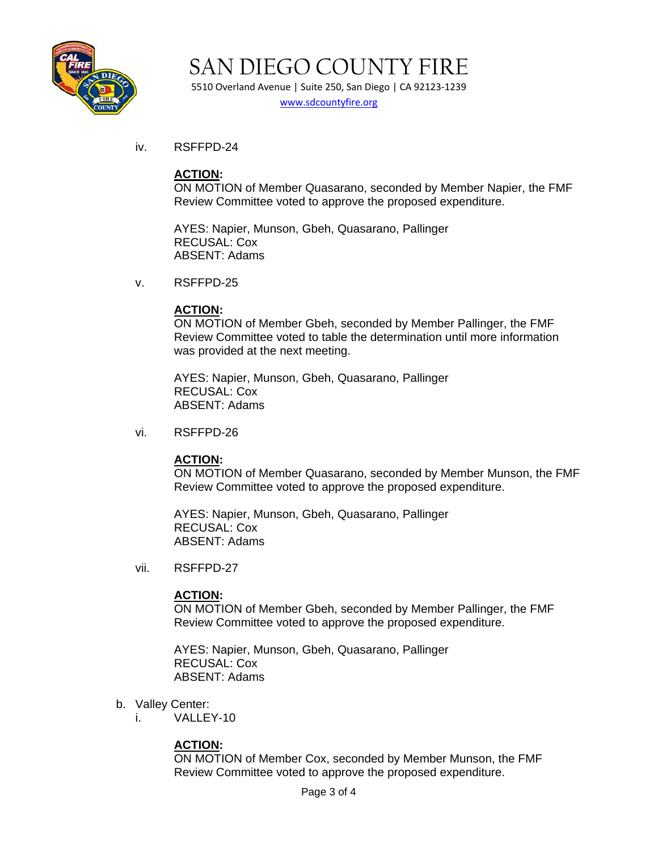

5510 Overland Avenue | Suite 250, San Diego | CA 92123-1239 [www.sdcountyfire.org](http://www.sdcountyfire.org/)

iv. RSFFPD-24

#### **ACTION:**

ON MOTION of Member Quasarano, seconded by Member Napier, the FMF Review Committee voted to approve the proposed expenditure.

AYES: Napier, Munson, Gbeh, Quasarano, Pallinger RECUSAL: Cox ABSENT: Adams

v. RSFFPD-25

#### **ACTION:**

ON MOTION of Member Gbeh, seconded by Member Pallinger, the FMF Review Committee voted to table the determination until more information was provided at the next meeting.

AYES: Napier, Munson, Gbeh, Quasarano, Pallinger RECUSAL: Cox ABSENT: Adams

vi. RSFFPD-26

#### **ACTION:**

ON MOTION of Member Quasarano, seconded by Member Munson, the FMF Review Committee voted to approve the proposed expenditure.

AYES: Napier, Munson, Gbeh, Quasarano, Pallinger RECUSAL: Cox ABSENT: Adams

vii. RSFFPD-27

#### **ACTION:**

ON MOTION of Member Gbeh, seconded by Member Pallinger, the FMF Review Committee voted to approve the proposed expenditure.

AYES: Napier, Munson, Gbeh, Quasarano, Pallinger RECUSAL: Cox ABSENT: Adams

- b. Valley Center:
	- i. VALLEY-10

#### **ACTION:**

ON MOTION of Member Cox, seconded by Member Munson, the FMF Review Committee voted to approve the proposed expenditure.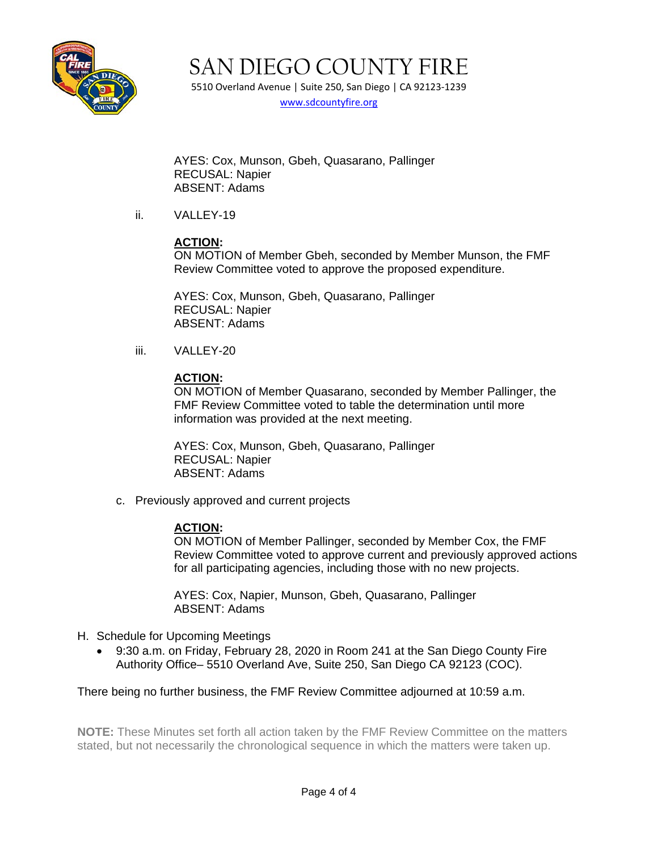

5510 Overland Avenue | Suite 250, San Diego | CA 92123-1239 [www.sdcountyfire.org](http://www.sdcountyfire.org/)

AYES: Cox, Munson, Gbeh, Quasarano, Pallinger RECUSAL: Napier ABSENT: Adams

ii. VALLEY-19

#### **ACTION:**

ON MOTION of Member Gbeh, seconded by Member Munson, the FMF Review Committee voted to approve the proposed expenditure.

AYES: Cox, Munson, Gbeh, Quasarano, Pallinger RECUSAL: Napier ABSENT: Adams

iii. VALLEY-20

#### **ACTION:**

ON MOTION of Member Quasarano, seconded by Member Pallinger, the FMF Review Committee voted to table the determination until more information was provided at the next meeting.

AYES: Cox, Munson, Gbeh, Quasarano, Pallinger RECUSAL: Napier ABSENT: Adams

c. Previously approved and current projects

#### **ACTION:**

ON MOTION of Member Pallinger, seconded by Member Cox, the FMF Review Committee voted to approve current and previously approved actions for all participating agencies, including those with no new projects.

AYES: Cox, Napier, Munson, Gbeh, Quasarano, Pallinger ABSENT: Adams

- H. Schedule for Upcoming Meetings
	- 9:30 a.m. on Friday, February 28, 2020 in Room 241 at the San Diego County Fire Authority Office– 5510 Overland Ave, Suite 250, San Diego CA 92123 (COC).

#### There being no further business, the FMF Review Committee adjourned at 10:59 a.m.

**NOTE:** These Minutes set forth all action taken by the FMF Review Committee on the matters stated, but not necessarily the chronological sequence in which the matters were taken up.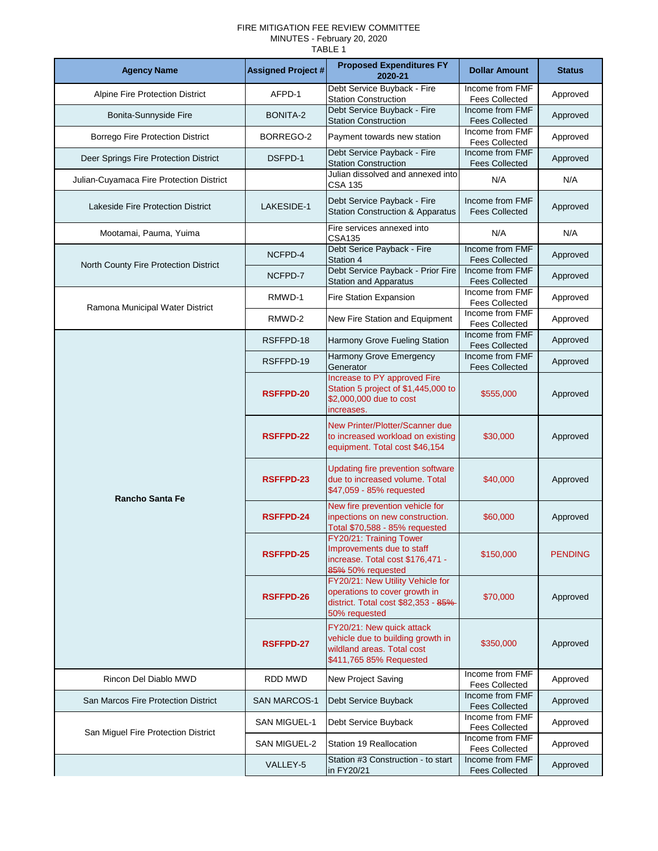#### FIRE MITIGATION FEE REVIEW COMMITTEE MINUTES - February 20, 2020

TABLE 1

| <b>Agency Name</b>                       | <b>Assigned Project #</b> | <b>Proposed Expenditures FY</b><br>2020-21                                                                                 | <b>Dollar Amount</b>                     | <b>Status</b>  |
|------------------------------------------|---------------------------|----------------------------------------------------------------------------------------------------------------------------|------------------------------------------|----------------|
| <b>Alpine Fire Protection District</b>   | AFPD-1                    | Debt Service Buyback - Fire<br><b>Station Construction</b>                                                                 | Income from FMF<br><b>Fees Collected</b> | Approved       |
| Bonita-Sunnyside Fire                    | <b>BONITA-2</b>           | Debt Service Buyback - Fire<br><b>Station Construction</b>                                                                 | Income from FMF<br><b>Fees Collected</b> | Approved       |
| <b>Borrego Fire Protection District</b>  | BORREGO-2                 | Payment towards new station                                                                                                | Income from FMF<br><b>Fees Collected</b> | Approved       |
| Deer Springs Fire Protection District    | DSFPD-1                   | Debt Service Payback - Fire<br><b>Station Construction</b>                                                                 | Income from FMF<br><b>Fees Collected</b> | Approved       |
| Julian-Cuyamaca Fire Protection District |                           | Julian dissolved and annexed into<br><b>CSA 135</b>                                                                        | N/A                                      | N/A            |
| Lakeside Fire Protection District        | LAKESIDE-1                | Debt Service Payback - Fire<br><b>Station Construction &amp; Apparatus</b>                                                 | Income from FMF<br><b>Fees Collected</b> | Approved       |
| Mootamai, Pauma, Yuima                   |                           | Fire services annexed into<br><b>CSA135</b>                                                                                | N/A                                      | N/A            |
| North County Fire Protection District    | NCFPD-4                   | Debt Serice Payback - Fire<br>Station 4                                                                                    | Income from FMF<br><b>Fees Collected</b> | Approved       |
|                                          | NCFPD-7                   | Debt Service Payback - Prior Fire<br><b>Station and Apparatus</b>                                                          | Income from FMF<br><b>Fees Collected</b> | Approved       |
| Ramona Municipal Water District          | RMWD-1                    | <b>Fire Station Expansion</b>                                                                                              | Income from FMF<br><b>Fees Collected</b> | Approved       |
|                                          | RMWD-2                    | New Fire Station and Equipment                                                                                             | Income from FMF<br><b>Fees Collected</b> | Approved       |
|                                          | RSFFPD-18                 | Harmony Grove Fueling Station                                                                                              | Income from FMF<br><b>Fees Collected</b> | Approved       |
|                                          | RSFFPD-19                 | Harmony Grove Emergency<br>Generator                                                                                       | Income from FMF<br><b>Fees Collected</b> | Approved       |
|                                          | <b>RSFFPD-20</b>          | Increase to PY approved Fire<br>Station 5 project of \$1,445,000 to<br>\$2,000,000 due to cost<br>increases.               | \$555,000                                | Approved       |
|                                          | <b>RSFFPD-22</b>          | New Printer/Plotter/Scanner due<br>to increased workload on existing<br>equipment. Total cost \$46,154                     | \$30,000                                 | Approved       |
| <b>Rancho Santa Fe</b>                   | RSFFPD-23                 | Updating fire prevention software<br>due to increased volume. Total<br>\$47,059 - 85% requested                            | \$40,000                                 | Approved       |
|                                          | <b>RSFFPD-24</b>          | New fire prevention vehicle for<br>inpections on new construction.<br>Total \$70,588 - 85% requested                       | \$60,000                                 | Approved       |
|                                          | <b>RSFFPD-25</b>          | FY20/21: Training Tower<br>Improvements due to staff<br>increase. Total cost \$176,471 -<br>85% 50% requested              | \$150,000                                | <b>PENDING</b> |
|                                          | <b>RSFFPD-26</b>          | FY20/21: New Utility Vehicle for<br>operations to cover growth in<br>district. Total cost \$82,353 - 85%-<br>50% requested | \$70,000                                 | Approved       |
|                                          | <b>RSFFPD-27</b>          | FY20/21: New quick attack<br>vehicle due to building growth in<br>wildland areas. Total cost<br>\$411,765 85% Requested    | \$350,000                                | Approved       |
| Rincon Del Diablo MWD                    | <b>RDD MWD</b>            | New Project Saving                                                                                                         | Income from FMF<br><b>Fees Collected</b> | Approved       |
| San Marcos Fire Protection District      | <b>SAN MARCOS-1</b>       | Debt Service Buyback                                                                                                       | Income from FMF<br><b>Fees Collected</b> | Approved       |
| San Miguel Fire Protection District      | <b>SAN MIGUEL-1</b>       | Debt Service Buyback                                                                                                       | Income from FMF<br><b>Fees Collected</b> | Approved       |
|                                          | <b>SAN MIGUEL-2</b>       | <b>Station 19 Reallocation</b>                                                                                             | Income from FMF<br><b>Fees Collected</b> | Approved       |
|                                          | VALLEY-5                  | Station #3 Construction - to start<br>in FY20/21                                                                           | Income from FMF<br><b>Fees Collected</b> | Approved       |